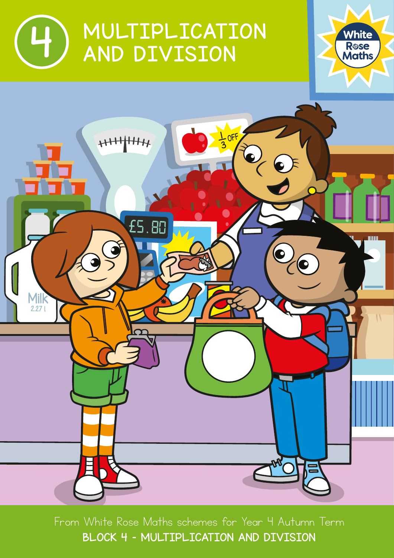





From White Rose Maths schemes for Year 4 Autumn Term BLOCK 4 – MULTIPLICATION AND DIVISION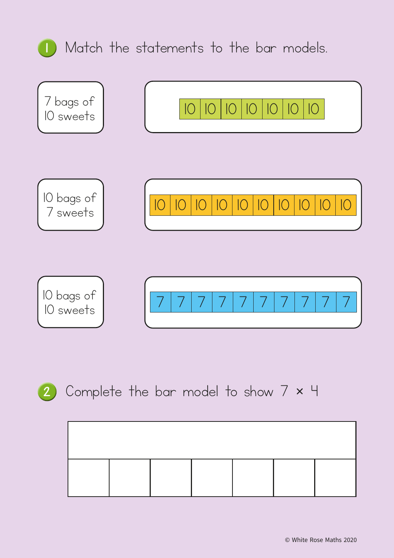

## 1) Match the statements to the bar models.





## 2) Complete the bar model to show 7  $\times$  4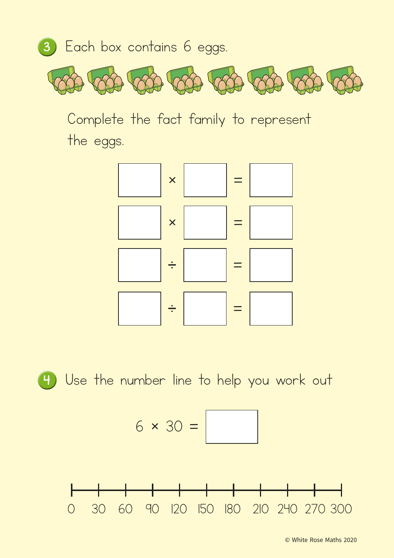

Complete the fact family to represent the eggs.



<sup>4</sup> Use the number line to help you work out

$$
6 \times 30 =
$$

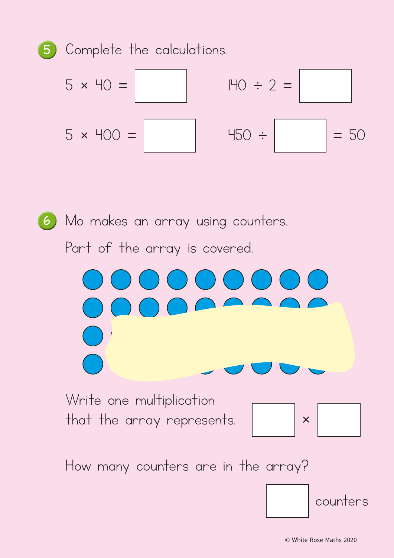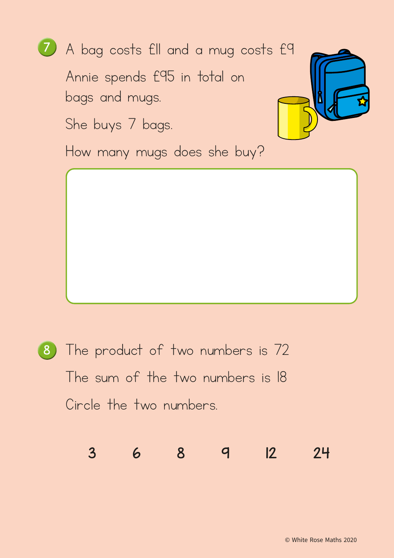

8) The product of two numbers is 72 The sum of the two numbers is 18 Circle the two numbers.

## 3 6 8 9 12 24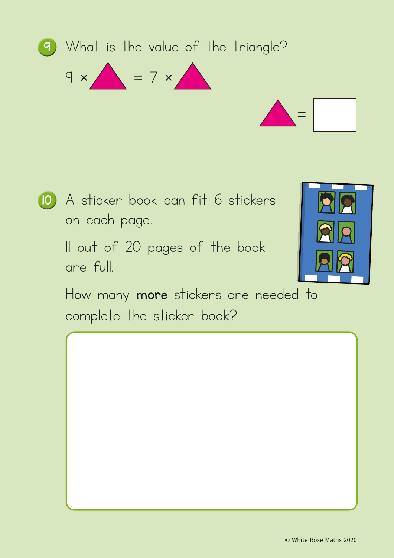



11 out of 20 pages of the book are full.



How many more stickers are needed to complete the sticker book?